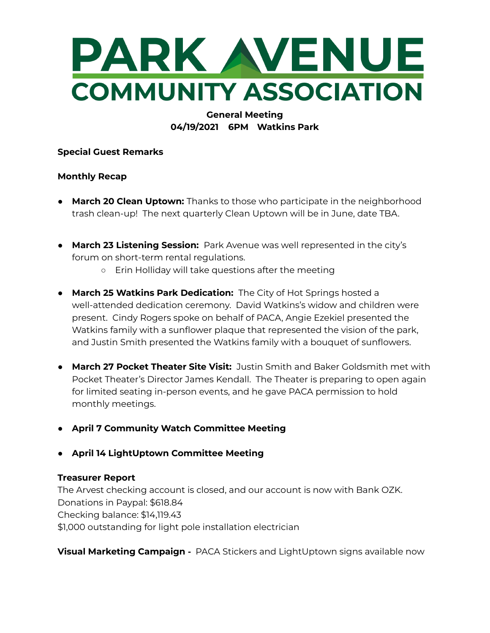

## **General Meeting 04/19/2021 6PM Watkins Park**

**Special Guest Remarks**

#### **Monthly Recap**

- **March 20 Clean Uptown:** Thanks to those who participate in the neighborhood trash clean-up! The next quarterly Clean Uptown will be in June, date TBA.
- **March 23 Listening Session:** Park Avenue was well represented in the city's forum on short-term rental regulations.
	- Erin Holliday will take questions after the meeting
- **March 25 Watkins Park Dedication:** The City of Hot Springs hosted a well-attended dedication ceremony. David Watkins's widow and children were present. Cindy Rogers spoke on behalf of PACA, Angie Ezekiel presented the Watkins family with a sunflower plaque that represented the vision of the park, and Justin Smith presented the Watkins family with a bouquet of sunflowers.
- **March 27 Pocket Theater Site Visit:** Justin Smith and Baker Goldsmith met with Pocket Theater's Director James Kendall. The Theater is preparing to open again for limited seating in-person events, and he gave PACA permission to hold monthly meetings.
- **● April 7 Community Watch Committee Meeting**
- **● April 14 LightUptown Committee Meeting**

### **Treasurer Report**

The Arvest checking account is closed, and our account is now with Bank OZK. Donations in Paypal: \$618.84 Checking balance: \$14,119.43 \$1,000 outstanding for light pole installation electrician

**Visual Marketing Campaign -** PACA Stickers and LightUptown signs available now